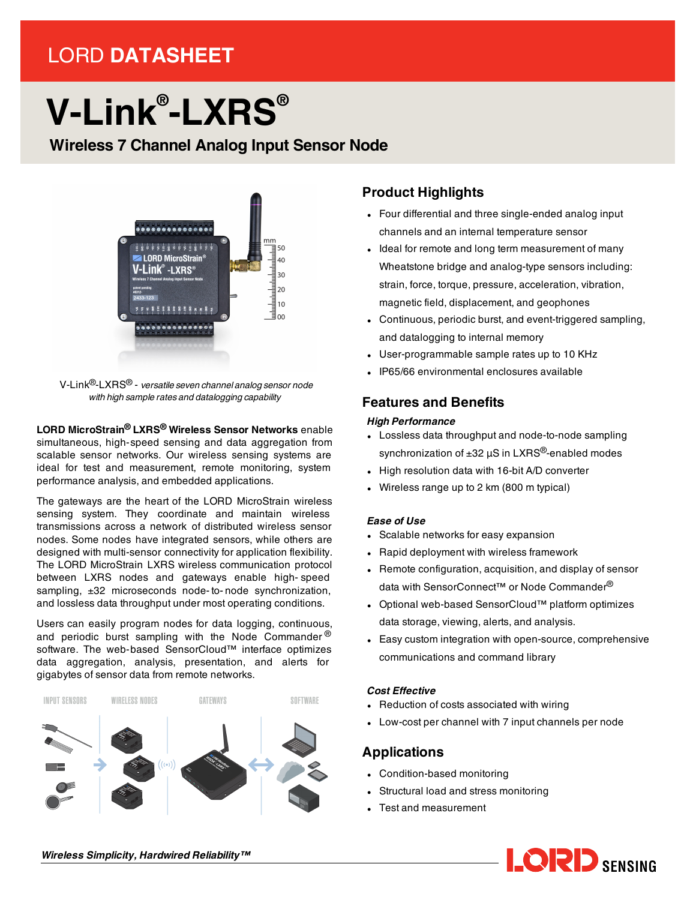# LORD **DATASHEET**

# **V-Link® -LXRS®**

# **Wireless 7 Channel Analog Input Sensor Node**



V-Link®-LXRS® - *versatile seven channel analog sensor node with high sample rates and datalogging capability*

**LORD MicroStrain® LXRS® Wireless Sensor Networks** enable simultaneous, high-speed sensing and data aggregation from scalable sensor networks. Our wireless sensing systems are ideal for test and measurement, remote monitoring, system performance analysis, and embedded applications.

The gateways are the heart of the LORD MicroStrain wireless sensing system. They coordinate and maintain wireless transmissions across a network of distributed wireless sensor nodes. Some nodes have integrated sensors, while others are designed with multi-sensor connectivity for application flexibility. The LORD MicroStrain LXRS wireless communication protocol between LXRS nodes and gateways enable high- speed sampling,  $\pm 32$  microseconds node-to-node synchronization, and lossless data throughput under most operating conditions.

Users can easily program nodes for data logging, continuous, and periodic burst sampling with the Node Commander  $\mathcal{O}$ software. The web-based SensorCloud™ interface optimizes data aggregation, analysis, presentation, and alerts for gigabytes of sensor data from remote networks.



# **Product Highlights**

- Four differential and three single-ended analog input channels and an internal temperature sensor
- Ideal for remote and long term measurement of many Wheatstone bridge and analog-type sensors including: strain, force, torque, pressure, acceleration, vibration, magnetic field, displacement, and geophones
- Continuous, periodic burst, and event-triggered sampling, and datalogging to internal memory
- User-programmable sample rates up to 10 KHz
- <sup>l</sup> IP65/66 environmental enclosures available

## **Features and Benefits**

#### *High Performance*

- Lossless data throughput and node-to-node sampling synchronization of  $\pm 32$   $\mu$ S in LXRS<sup>®</sup>-enabled modes
- High resolution data with 16-bit A/D converter
- Wireless range up to 2 km (800 m typical)

#### *Ease of Use*

- Scalable networks for easy expansion
- Rapid deployment with wireless framework
- Remote configuration, acquisition, and display of sensor data with SensorConnect™ or Node Commander<sup>®</sup>
- Optional web-based SensorCloud™ platform optimizes data storage, viewing, alerts, and analysis.
- Easy custom integration with open-source, comprehensive communications and command library

#### *Cost Effective*

- Reduction of costs associated with wiring
- Low-cost per channel with 7 input channels per node

### **Applications**

- Condition-based monitoring
- Structural load and stress monitoring
- Test and measurement